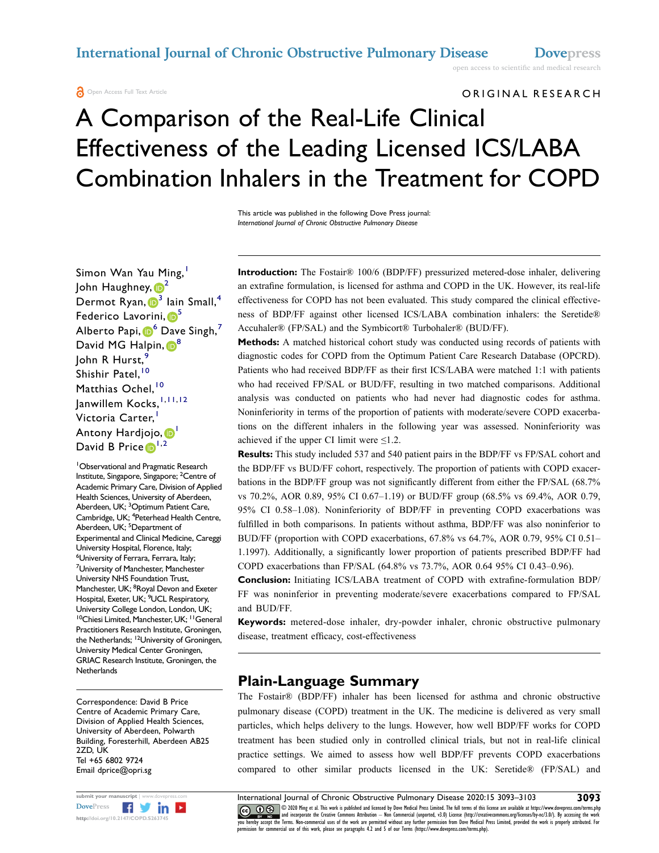#### Open Access Full Text Article

ORIGINAL RESEARCH

# A Comparison of the Real-Life Clinical Effectiveness of the Leading Licensed ICS/LABA Combination Inhalers in the Treatment for COPD

This article was published in the following Dove Press journal: *International Journal of Chronic Obstructive Pulmonary Disease*

Simon Wan Yau Ming,<sup>1</sup> John Haughney,  $\mathbb{D}^2$  $\mathbb{D}^2$ Dermot Ryan, <sup>3</sup> Iain Small.<sup>[4](#page-0-3)</sup> Federico Lavorini, D<sup>5</sup> Alberto Papi,  $\mathbf{D}^6$  Dave Singh,<sup>7</sup> David MG Halpin, <sup>8</sup> John R Hurst,<sup>9</sup> Shishir Patel,<sup>[10](#page-0-9)</sup> Matthias Ochel, 10 Janwillem Kocks, [1,](#page-0-0)[11,](#page-0-9)12 Victoria Carter, [1](#page-0-0) Antony Hardjojo, D David B Price  $\mathbf{D}^{1,2}$  $\mathbf{D}^{1,2}$  $\mathbf{D}^{1,2}$  $\mathbf{D}^{1,2}$  $\mathbf{D}^{1,2}$ 

<span id="page-0-6"></span><span id="page-0-5"></span><span id="page-0-4"></span><span id="page-0-3"></span><span id="page-0-2"></span><span id="page-0-1"></span><span id="page-0-0"></span>1 Observational and Pragmatic Research Institute, Singapore, Singapore; <sup>2</sup>Centre of Academic Primary Care, Division of Applied Health Sciences, University of Aberdeen, Aberdeen, UK; <sup>3</sup>Optimum Patient Care, Cambridge, UK; <sup>4</sup>Peterhead Health Centre, Aberdeen, UK; <sup>5</sup>Department of Experimental and Clinical Medicine, Careggi University Hospital, Florence, Italy; 6 <sup>6</sup>University of Ferrara, Ferrara, Italy; <sup>7</sup>University of Manchester, Manchester University NHS Foundation Trust, Manchester, UK; <sup>8</sup>Royal Devon and Exeter Hospital, Exeter, UK; <sup>9</sup>UCL Respiratory, University College London, London, UK;<br><sup>10</sup>Chiesi Limited, Manchester, UK; <sup>11</sup>General Practitioners Research Institute, Groningen, the Netherlands; <sup>12</sup>University of Groningen, University Medical Center Groningen, GRIAC Research Institute, Groningen, the **Netherlands** 

<span id="page-0-10"></span><span id="page-0-9"></span><span id="page-0-8"></span><span id="page-0-7"></span>Correspondence: David B Price Centre of Academic Primary Care, Division of Applied Health Sciences, University of Aberdeen, Polwarth Building, Foresterhill, Aberdeen AB25 2ZD, UK Tel +65 6802 9724 Email [dprice@opri.sg](mailto:dprice@opri.sg)



**Introduction:** The Fostair® 100/6 (BDP/FF) pressurized metered-dose inhaler, delivering an extrafine formulation, is licensed for asthma and COPD in the UK. However, its real-life effectiveness for COPD has not been evaluated. This study compared the clinical effectiveness of BDP/FF against other licensed ICS/LABA combination inhalers: the Seretide® Accuhaler® (FP/SAL) and the Symbicort® Turbohaler® (BUD/FF).

**Methods:** A matched historical cohort study was conducted using records of patients with diagnostic codes for COPD from the Optimum Patient Care Research Database (OPCRD). Patients who had received BDP/FF as their first ICS/LABA were matched 1:1 with patients who had received FP/SAL or BUD/FF, resulting in two matched comparisons. Additional analysis was conducted on patients who had never had diagnostic codes for asthma. Noninferiority in terms of the proportion of patients with moderate/severe COPD exacerbations on the different inhalers in the following year was assessed. Noninferiority was achieved if the upper CI limit were  $\leq 1.2$ .

**Results:** This study included 537 and 540 patient pairs in the BDP/FF vs FP/SAL cohort and the BDP/FF vs BUD/FF cohort, respectively. The proportion of patients with COPD exacerbations in the BDP/FF group was not significantly different from either the FP/SAL (68.7% vs 70.2%, AOR 0.89, 95% CI 0.67–1.19) or BUD/FF group (68.5% vs 69.4%, AOR 0.79, 95% CI 0.58–1.08). Noninferiority of BDP/FF in preventing COPD exacerbations was fulfilled in both comparisons. In patients without asthma, BDP/FF was also noninferior to BUD/FF (proportion with COPD exacerbations, 67.8% vs 64.7%, AOR 0.79, 95% CI 0.51– 1.1997). Additionally, a significantly lower proportion of patients prescribed BDP/FF had COPD exacerbations than FP/SAL (64.8% vs 73.7%, AOR 0.64 95% CI 0.43–0.96).

**Conclusion:** Initiating ICS/LABA treatment of COPD with extrafine-formulation BDP/ FF was noninferior in preventing moderate/severe exacerbations compared to FP/SAL and BUD/FF.

**Keywords:** metered-dose inhaler, dry-powder inhaler, chronic obstructive pulmonary disease, treatment efficacy, cost-effectiveness

#### **Plain-Language Summary**

The Fostair® (BDP/FF) inhaler has been licensed for asthma and chronic obstructive pulmonary disease (COPD) treatment in the UK. The medicine is delivered as very small particles, which helps delivery to the lungs. However, how well BDP/FF works for COPD treatment has been studied only in controlled clinical trials, but not in real-life clinical practice settings. We aimed to assess how well BDP/FF prevents COPD exacerbations compared to other similar products licensed in the UK: Seretide® (FP/SAL) and

**submit your manuscript** | www.dovepress.com International Journal of Chronic Obstructive Pulmonary Disease 2020:15 3093–3103 **3093 CO D**  $\bigcirc$  2020 Ming et al. This work is published and licensed by Dove Medical Press Limited. The full terms of this license are available at https://www.dovepress.com/terms.php www.giverand incorporate the Creative Commons Attribution — Non Commercial (unported, v3.0) License (http://creativecommons.org/licenses/by-nc/3.0/). By accessing the work<br>you hereby accept the Terms. Non-commercial uses o permission for commercial use of this work, please see paragraphs 4.2 and 5 of our Terms (https://www.dovepress.com/terms.php).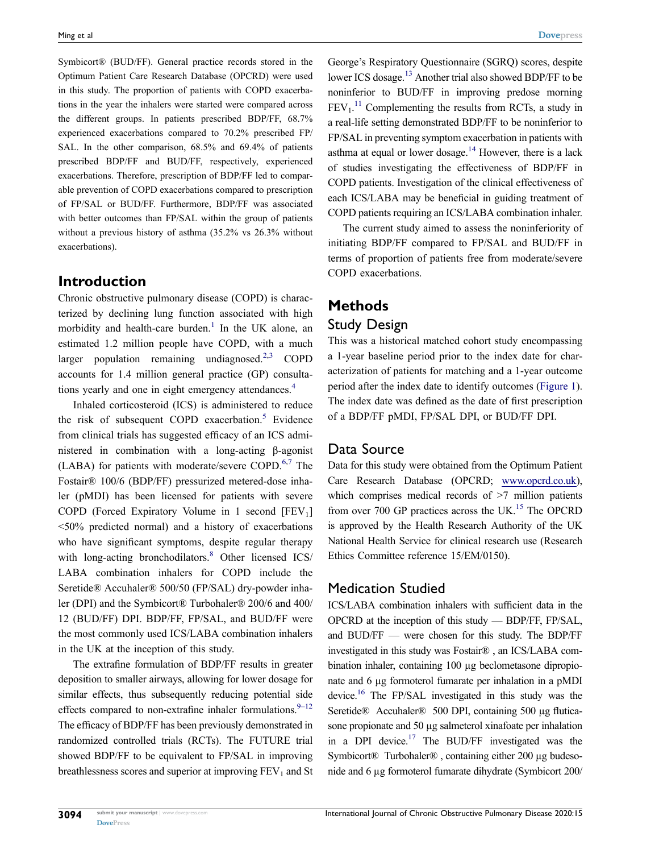Symbicort® (BUD/FF). General practice records stored in the Optimum Patient Care Research Database (OPCRD) were used in this study. The proportion of patients with COPD exacerbations in the year the inhalers were started were compared across the different groups. In patients prescribed BDP/FF, 68.7% experienced exacerbations compared to 70.2% prescribed FP/ SAL. In the other comparison, 68.5% and 69.4% of patients prescribed BDP/FF and BUD/FF, respectively, experienced exacerbations. Therefore, prescription of BDP/FF led to comparable prevention of COPD exacerbations compared to prescription of FP/SAL or BUD/FF. Furthermore, BDP/FF was associated with better outcomes than FP/SAL within the group of patients without a previous history of asthma  $(35.2\% \text{ vs } 26.3\% \text{ without})$ exacerbations).

### **Introduction**

<span id="page-1-0"></span>Chronic obstructive pulmonary disease (COPD) is characterized by declining lung function associated with high morbidity and health-care burden.<sup>1</sup> In the UK alone, an estimated 1.2 million people have COPD, with a much larger population remaining undiagnosed.<sup>[2](#page-9-1),3</sup> COPD accounts for 1.4 million general practice (GP) consulta-tions yearly and one in eight emergency attendances.<sup>[4](#page-9-3)</sup>

<span id="page-1-3"></span><span id="page-1-2"></span><span id="page-1-1"></span>Inhaled corticosteroid (ICS) is administered to reduce the risk of subsequent COPD exacerbation.<sup>5</sup> Evidence from clinical trials has suggested efficacy of an ICS administered in combination with a long-acting β-agonist (LABA) for patients with moderate/severe COPD.<sup>[6,](#page-9-5)[7](#page-9-6)</sup> The Fostair® 100/6 (BDP/FF) pressurized metered-dose inhaler (pMDI) has been licensed for patients with severe COPD (Forced Expiratory Volume in 1 second  $[FEV<sub>1</sub>]$ <50% predicted normal) and a history of exacerbations who have significant symptoms, despite regular therapy with long-acting bronchodilators.<sup>8</sup> Other licensed ICS/ LABA combination inhalers for COPD include the Seretide® Accuhaler® 500/50 (FP/SAL) dry-powder inhaler (DPI) and the Symbicort® Turbohaler® 200/6 and 400/ 12 (BUD/FF) DPI. BDP/FF, FP/SAL, and BUD/FF were the most commonly used ICS/LABA combination inhalers in the UK at the inception of this study.

<span id="page-1-4"></span>The extrafine formulation of BDP/FF results in greater deposition to smaller airways, allowing for lower dosage for similar effects, thus subsequently reducing potential side effects compared to non-extrafine inhaler formulations. $9-12$ The efficacy of BDP/FF has been previously demonstrated in randomized controlled trials (RCTs). The FUTURE trial showed BDP/FF to be equivalent to FP/SAL in improving breathlessness scores and superior at improving  $FEV<sub>1</sub>$  and St <span id="page-1-6"></span><span id="page-1-5"></span>George's Respiratory Questionnaire (SGRQ) scores, despite lower ICS dosage.<sup>13</sup> Another trial also showed BDP/FF to be noninferior to BUD/FF in improving predose morning  $FEV<sub>1</sub><sup>11</sup>$  $FEV<sub>1</sub><sup>11</sup>$  $FEV<sub>1</sub><sup>11</sup>$  Complementing the results from RCTs, a study in a real-life setting demonstrated BDP/FF to be noninferior to FP/SAL in preventing symptom exacerbation in patients with asthma at equal or lower dosage.<sup>14</sup> However, there is a lack of studies investigating the effectiveness of BDP/FF in COPD patients. Investigation of the clinical effectiveness of each ICS/LABA may be beneficial in guiding treatment of COPD patients requiring an ICS/LABA combination inhaler.

<span id="page-1-7"></span>The current study aimed to assess the noninferiority of initiating BDP/FF compared to FP/SAL and BUD/FF in terms of proportion of patients free from moderate/severe COPD exacerbations.

## **Methods** Study Design

This was a historical matched cohort study encompassing a 1-year baseline period prior to the index date for characterization of patients for matching and a 1-year outcome period after the index date to identify outcomes ([Figure 1\)](#page-2-0). The index date was defined as the date of first prescription of a BDP/FF pMDI, FP/SAL DPI, or BUD/FF DPI.

### Data Source

Data for this study were obtained from the Optimum Patient Care Research Database (OPCRD; [www.opcrd.co.uk\)](http://www.opcrd.co.uk), which comprises medical records of  $>7$  million patients from over 700 GP practices across the UK.<sup>15</sup> The OPCRD is approved by the Health Research Authority of the UK National Health Service for clinical research use (Research Ethics Committee reference 15/EM/0150).

### Medication Studied

ICS/LABA combination inhalers with sufficient data in the OPCRD at the inception of this study — BDP/FF, FP/SAL, and BUD/FF — were chosen for this study. The BDP/FF investigated in this study was Fostair® , an ICS/LABA combination inhaler, containing 100 µg beclometasone dipropionate and 6 µg formoterol fumarate per inhalation in a pMDI device[.16](#page-9-13) The FP/SAL investigated in this study was the Seretide® Accuhaler® 500 DPI, containing 500 µg fluticasone propionate and 50 µg salmeterol xinafoate per inhalation in a DPI device.<sup>17</sup> The BUD/FF investigated was the Symbicort<sup>®</sup> Turbohaler<sup>®</sup>, containing either 200 µg budesonide and 6 µg formoterol fumarate dihydrate (Symbicort 200/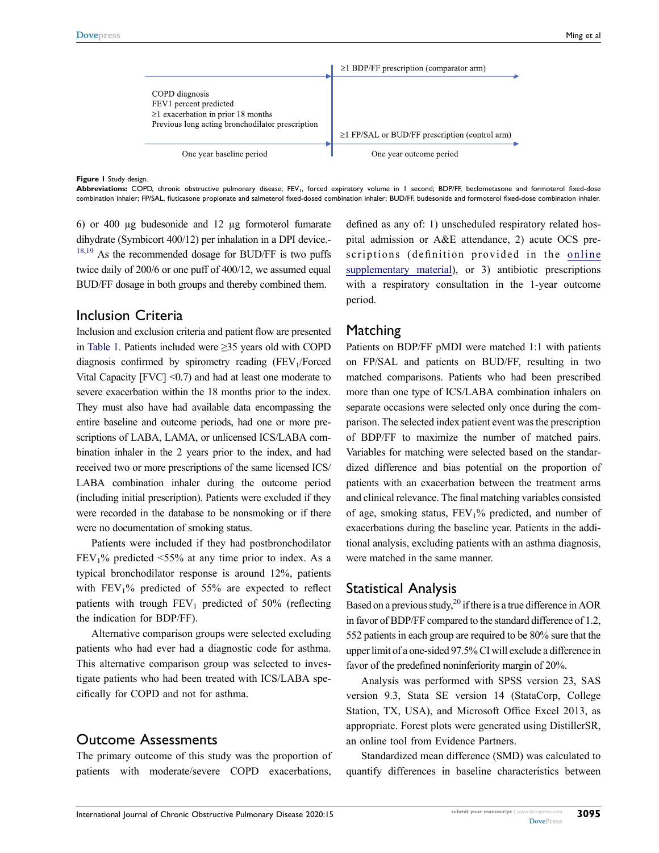<span id="page-2-0"></span>

**Figure 1** Study design.

Abbreviations: COPD, chronic obstructive pulmonary disease; FEV<sub>1</sub>, forced expiratory volume in 1 second; BDP/FF, beclometasone and formoterol fixed-dose combination inhaler; FP/SAL, fluticasone propionate and salmeterol fixed-dosed combination inhaler; BUD/FF, budesonide and formoterol fixed-dose combination inhaler.

6) or 400 µg budesonide and 12 µg formoterol fumarate dihydrate (Symbicort 400/12) per inhalation in a DPI device.  $18,19$  $18,19$  As the recommended dosage for BUD/FF is two puffs twice daily of 200/6 or one puff of 400/12, we assumed equal BUD/FF dosage in both groups and thereby combined them.

#### Inclusion Criteria

Inclusion and exclusion criteria and patient flow are presented in [Table 1](#page-3-0). Patients included were ≥35 years old with COPD diagnosis confirmed by spirometry reading  $(FEV_1/Fored)$ Vital Capacity  $[FVC] \le 0.7$  and had at least one moderate to severe exacerbation within the 18 months prior to the index. They must also have had available data encompassing the entire baseline and outcome periods, had one or more prescriptions of LABA, LAMA, or unlicensed ICS/LABA combination inhaler in the 2 years prior to the index, and had received two or more prescriptions of the same licensed ICS/ LABA combination inhaler during the outcome period (including initial prescription). Patients were excluded if they were recorded in the database to be nonsmoking or if there were no documentation of smoking status.

Patients were included if they had postbronchodilator  $FEV<sub>1</sub>$ % predicted <55% at any time prior to index. As a typical bronchodilator response is around 12%, patients with  $FEV<sub>1</sub>%$  predicted of 55% are expected to reflect patients with trough  $FEV_1$  predicted of 50% (reflecting the indication for BDP/FF).

Alternative comparison groups were selected excluding patients who had ever had a diagnostic code for asthma. This alternative comparison group was selected to investigate patients who had been treated with ICS/LABA specifically for COPD and not for asthma.

#### Outcome Assessments

The primary outcome of this study was the proportion of patients with moderate/severe COPD exacerbations,

defined as any of: 1) unscheduled respiratory related hospital admission or A&E attendance, 2) acute OCS prescriptions (definition provided in the [online](https://www.dovepress.com/get_supplementary_file.php?f=263745.docx)  [supplementary material\)](https://www.dovepress.com/get_supplementary_file.php?f=263745.docx), or 3) antibiotic prescriptions with a respiratory consultation in the 1-year outcome period.

#### Matching

Patients on BDP/FF pMDI were matched 1:1 with patients on FP/SAL and patients on BUD/FF, resulting in two matched comparisons. Patients who had been prescribed more than one type of ICS/LABA combination inhalers on separate occasions were selected only once during the comparison. The selected index patient event was the prescription of BDP/FF to maximize the number of matched pairs. Variables for matching were selected based on the standardized difference and bias potential on the proportion of patients with an exacerbation between the treatment arms and clinical relevance. The final matching variables consisted of age, smoking status,  $FEV<sub>1</sub>%$  predicted, and number of exacerbations during the baseline year. Patients in the additional analysis, excluding patients with an asthma diagnosis, were matched in the same manner.

#### Statistical Analysis

<span id="page-2-1"></span>Based on a previous study,<sup>[20](#page-9-17)</sup> if there is a true difference in AOR in favor of BDP/FF compared to the standard difference of 1.2, 552 patients in each group are required to be 80% sure that the upper limit of a one-sided 97.5% CI will exclude a difference in favor of the predefined noninferiority margin of 20%.

Analysis was performed with SPSS version 23, SAS version 9.3, Stata SE version 14 (StataCorp, College Station, TX, USA), and Microsoft Office Excel 2013, as appropriate. Forest plots were generated using DistillerSR, an online tool from Evidence Partners.

Standardized mean difference (SMD) was calculated to quantify differences in baseline characteristics between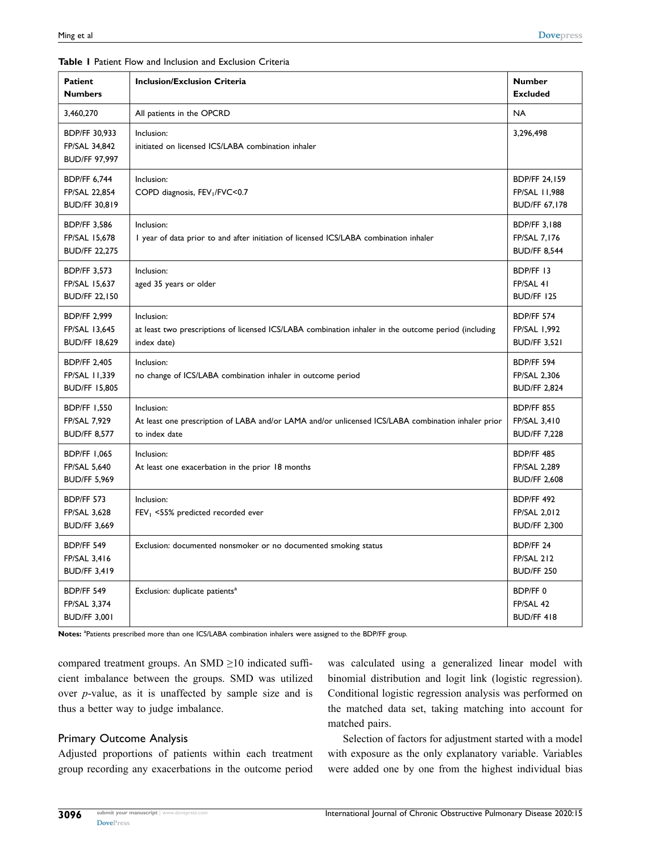#### <span id="page-3-0"></span>**Table 1** Patient Flow and Inclusion and Exclusion Criteria

| <b>Patient</b><br><b>Numbers</b>                                  | <b>Inclusion/Exclusion Criteria</b>                                                                                               | <b>Number</b><br><b>Excluded</b>                                  |
|-------------------------------------------------------------------|-----------------------------------------------------------------------------------------------------------------------------------|-------------------------------------------------------------------|
| 3,460,270                                                         | All patients in the OPCRD                                                                                                         | <b>NA</b>                                                         |
| BDP/FF 30,933<br>FP/SAL 34,842<br><b>BUD/FF 97,997</b>            | Inclusion:<br>initiated on licensed ICS/LABA combination inhaler                                                                  | 3,296,498                                                         |
| <b>BDP/FF 6,744</b><br>FP/SAL 22,854<br><b>BUD/FF 30,819</b>      | Inclusion:<br>COPD diagnosis, FEV <sub>1</sub> /FVC<0.7                                                                           | <b>BDP/FF 24,159</b><br>FP/SAL 11,988<br><b>BUD/FF 67,178</b>     |
| <b>BDP/FF 3,586</b><br>FP/SAL 15,678<br><b>BUD/FF 22,275</b>      | Inclusion:<br>I year of data prior to and after initiation of licensed ICS/LABA combination inhaler                               | <b>BDP/FF 3,188</b><br><b>FP/SAL 7,176</b><br><b>BUD/FF 8,544</b> |
| <b>BDP/FF 3,573</b><br>FP/SAL 15,637<br><b>BUD/FF 22,150</b>      | Inclusion:<br>aged 35 years or older                                                                                              | BDP/FF 13<br>FP/SAL 41<br><b>BUD/FF 125</b>                       |
| <b>BDP/FF 2,999</b><br>FP/SAL 13,645<br><b>BUD/FF 18,629</b>      | Inclusion:<br>at least two prescriptions of licensed ICS/LABA combination inhaler in the outcome period (including<br>index date) | <b>BDP/FF 574</b><br><b>FP/SAL 1,992</b><br><b>BUD/FF 3,521</b>   |
| <b>BDP/FF 2,405</b><br>FP/SAL 11,339<br><b>BUD/FF 15,805</b>      | Inclusion:<br>no change of ICS/LABA combination inhaler in outcome period                                                         | <b>BDP/FF 594</b><br><b>FP/SAL 2,306</b><br><b>BUD/FF 2,824</b>   |
| <b>BDP/FF 1,550</b><br><b>FP/SAL 7,929</b><br><b>BUD/FF 8,577</b> | Inclusion:<br>At least one prescription of LABA and/or LAMA and/or unlicensed ICS/LABA combination inhaler prior<br>to index date | <b>BDP/FF 855</b><br>FP/SAL 3,410<br><b>BUD/FF 7,228</b>          |
| BDP/FF 1,065<br><b>FP/SAL 5,640</b><br><b>BUD/FF 5,969</b>        | Inclusion:<br>At least one exacerbation in the prior 18 months                                                                    | <b>BDP/FF 485</b><br>FP/SAL 2,289<br><b>BUD/FF 2,608</b>          |
| <b>BDP/FF 573</b><br>FP/SAL 3,628<br><b>BUD/FF 3,669</b>          | Inclusion:<br>FEV <sub>1</sub> <55% predicted recorded ever                                                                       | BDP/FF 492<br>FP/SAL 2,012<br><b>BUD/FF 2,300</b>                 |
| <b>BDP/FF 549</b><br>FP/SAL 3,416<br><b>BUD/FF 3,419</b>          | Exclusion: documented nonsmoker or no documented smoking status                                                                   | BDP/FF 24<br>FP/SAL 212<br><b>BUD/FF 250</b>                      |
| <b>BDP/FF 549</b><br>FP/SAL 3,374<br><b>BUD/FF 3,001</b>          | Exclusion: duplicate patients <sup>a</sup>                                                                                        | BDP/FF <sub>0</sub><br>FP/SAL 42<br>BUD/FF 418                    |

Notes: <sup>a</sup>Patients prescribed more than one ICS/LABA combination inhalers were assigned to the BDP/FF group.

compared treatment groups. An SMD ≥10 indicated sufficient imbalance between the groups. SMD was utilized over *p*-value, as it is unaffected by sample size and is thus a better way to judge imbalance.

#### Primary Outcome Analysis

Adjusted proportions of patients within each treatment group recording any exacerbations in the outcome period was calculated using a generalized linear model with binomial distribution and logit link (logistic regression). Conditional logistic regression analysis was performed on the matched data set, taking matching into account for matched pairs.

Selection of factors for adjustment started with a model with exposure as the only explanatory variable. Variables were added one by one from the highest individual bias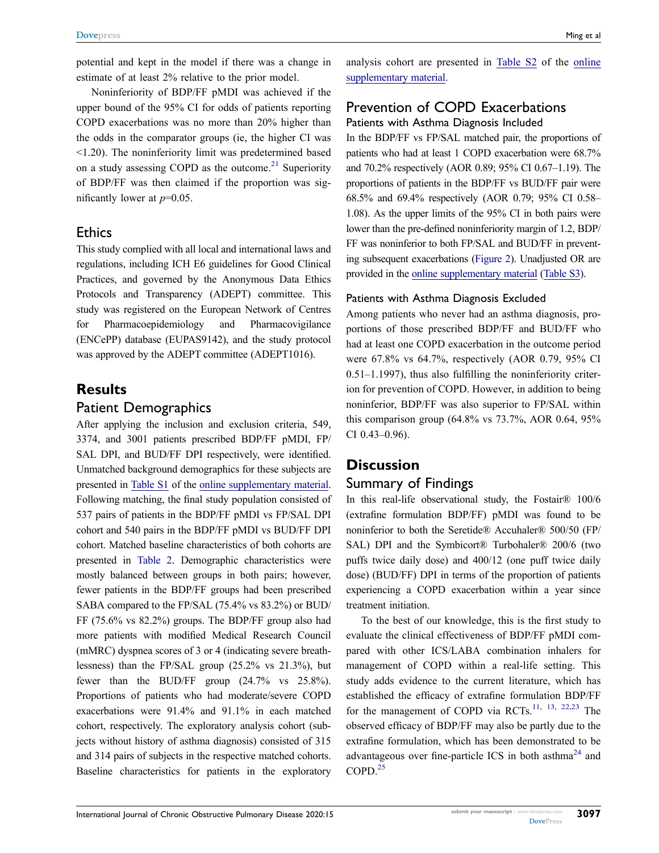potential and kept in the model if there was a change in estimate of at least 2% relative to the prior model.

<span id="page-4-0"></span>Noninferiority of BDP/FF pMDI was achieved if the upper bound of the 95% CI for odds of patients reporting COPD exacerbations was no more than 20% higher than the odds in the comparator groups (ie, the higher CI was <1.20). The noninferiority limit was predetermined based on a study assessing COPD as the outcome.<sup>[21](#page-9-18)</sup> Superiority of BDP/FF was then claimed if the proportion was significantly lower at *p*=0.05.

### **Ethics**

This study complied with all local and international laws and regulations, including ICH E6 guidelines for Good Clinical Practices, and governed by the Anonymous Data Ethics Protocols and Transparency (ADEPT) committee. This study was registered on the European Network of Centres for Pharmacoepidemiology and Pharmacovigilance (ENCePP) database (EUPAS9142), and the study protocol was approved by the ADEPT committee (ADEPT1016).

### **Results**

#### Patient Demographics

After applying the inclusion and exclusion criteria, 549, 3374, and 3001 patients prescribed BDP/FF pMDI, FP/ SAL DPI, and BUD/FF DPI respectively, were identified. Unmatched background demographics for these subjects are presented in [Table S1](https://www.dovepress.com/get_supplementary_file.php?f=263745.docx) of the [online supplementary material](https://www.dovepress.com/get_supplementary_file.php?f=263745.docx). Following matching, the final study population consisted of 537 pairs of patients in the BDP/FF pMDI vs FP/SAL DPI cohort and 540 pairs in the BDP/FF pMDI vs BUD/FF DPI cohort. Matched baseline characteristics of both cohorts are presented in [Table 2.](#page-5-0) Demographic characteristics were mostly balanced between groups in both pairs; however, fewer patients in the BDP/FF groups had been prescribed SABA compared to the FP/SAL (75.4% vs 83.2%) or BUD/ FF (75.6% vs 82.2%) groups. The BDP/FF group also had more patients with modified Medical Research Council (mMRC) dyspnea scores of 3 or 4 (indicating severe breathlessness) than the FP/SAL group (25.2% vs 21.3%), but fewer than the BUD/FF group (24.7% vs 25.8%). Proportions of patients who had moderate/severe COPD exacerbations were 91.4% and 91.1% in each matched cohort, respectively. The exploratory analysis cohort (subjects without history of asthma diagnosis) consisted of 315 and 314 pairs of subjects in the respective matched cohorts. Baseline characteristics for patients in the exploratory

analysis cohort are presented in [Table S2](https://www.dovepress.com/get_supplementary_file.php?f=263745.docx) of the [online](https://www.dovepress.com/get_supplementary_file.php?f=263745.docx) [supplementary material.](https://www.dovepress.com/get_supplementary_file.php?f=263745.docx)

### Prevention of COPD Exacerbations Patients with Asthma Diagnosis Included

In the BDP/FF vs FP/SAL matched pair, the proportions of patients who had at least 1 COPD exacerbation were 68.7% and 70.2% respectively (AOR 0.89; 95% CI 0.67–1.19). The proportions of patients in the BDP/FF vs BUD/FF pair were 68.5% and 69.4% respectively (AOR 0.79; 95% CI 0.58– 1.08). As the upper limits of the 95% CI in both pairs were lower than the pre-defined noninferiority margin of 1.2, BDP/ FF was noninferior to both FP/SAL and BUD/FF in preventing subsequent exacerbations ([Figure 2](#page-6-0)). Unadjusted OR are provided in the [online supplementary material](https://www.dovepress.com/get_supplementary_file.php?f=263745.docx) [\(Table S3](https://www.dovepress.com/get_supplementary_file.php?f=263745.docx)).

#### Patients with Asthma Diagnosis Excluded

Among patients who never had an asthma diagnosis, proportions of those prescribed BDP/FF and BUD/FF who had at least one COPD exacerbation in the outcome period were 67.8% vs 64.7%, respectively (AOR 0.79, 95% CI 0.51–1.1997), thus also fulfilling the noninferiority criterion for prevention of COPD. However, in addition to being noninferior, BDP/FF was also superior to FP/SAL within this comparison group (64.8% vs 73.7%, AOR 0.64, 95% CI 0.43–0.96).

### **Discussion** Summary of Findings

In this real-life observational study, the Fostair® 100/6 (extrafine formulation BDP/FF) pMDI was found to be noninferior to both the Seretide® Accuhaler® 500/50 (FP/ SAL) DPI and the Symbicort<sup>®</sup> Turbohaler<sup>®</sup> 200/6 (two puffs twice daily dose) and 400/12 (one puff twice daily dose) (BUD/FF) DPI in terms of the proportion of patients experiencing a COPD exacerbation within a year since treatment initiation.

<span id="page-4-3"></span><span id="page-4-2"></span><span id="page-4-1"></span>To the best of our knowledge, this is the first study to evaluate the clinical effectiveness of BDP/FF pMDI compared with other ICS/LABA combination inhalers for management of COPD within a real-life setting. This study adds evidence to the current literature, which has established the efficacy of extrafine formulation BDP/FF for the management of COPD via RCTs.<sup>[11,](#page-9-10) [13,](#page-9-9) [22](#page-9-19),23</sup> The observed efficacy of BDP/FF may also be partly due to the extrafine formulation, which has been demonstrated to be advantageous over fine-particle ICS in both asthma<sup>[24](#page-10-1)</sup> and  $COPD.<sup>25</sup>$  $COPD.<sup>25</sup>$  $COPD.<sup>25</sup>$ 

**3097**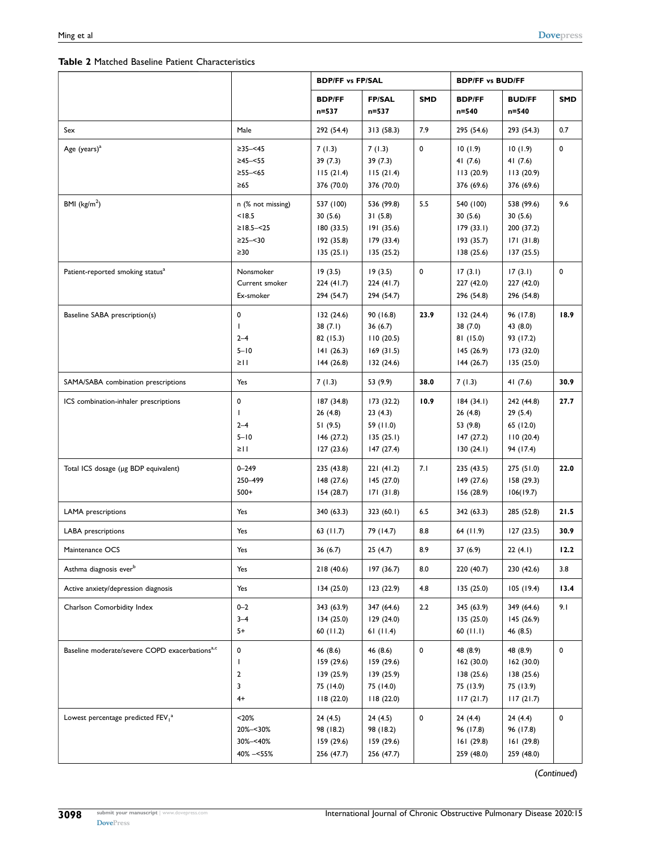<span id="page-5-0"></span>**Table 2** Matched Baseline Patient Characteristics

|                                                            |                                                                         | <b>BDP/FF vs FP/SAL</b>                                        |                                                                 |            | <b>BDP/FF vs BUD/FF</b>                                       |                                                                |            |
|------------------------------------------------------------|-------------------------------------------------------------------------|----------------------------------------------------------------|-----------------------------------------------------------------|------------|---------------------------------------------------------------|----------------------------------------------------------------|------------|
|                                                            |                                                                         | <b>BDP/FF</b><br>n=537                                         | <b>FP/SAL</b><br>n=537                                          | <b>SMD</b> | <b>BDP/FF</b><br>n=540                                        | <b>BUD/FF</b><br>n=540                                         | <b>SMD</b> |
| Sex                                                        | Male                                                                    | 292 (54.4)                                                     | 313(58.3)                                                       | 7.9        | 295 (54.6)                                                    | 293 (54.3)                                                     | 0.7        |
| Age (years) <sup>a</sup>                                   | $\geq$ 35-<45<br>$\geq 45 - \leq 55$<br>≥55–<65<br>$\geq 65$            | 7(1.3)<br>39(7.3)<br>115(21.4)<br>376 (70.0)                   | 7(1.3)<br>39(7.3)<br>115(21.4)<br>376 (70.0)                    | 0          | 10(1.9)<br>41 (7.6)<br>113(20.9)<br>376 (69.6)                | 10(1.9)<br>41 $(7.6)$<br>113 (20.9)<br>376 (69.6)              | 0          |
| BMI $(kg/m2)$                                              | $n$ (% not missing)<br>< 18.5<br>$≥18.5 - < 25$<br>≥25–<30<br>$\geq$ 30 | 537 (100)<br>30(5.6)<br>180(33.5)<br>192 (35.8)<br>135(25.1)   | 536 (99.8)<br>31(5.8)<br>191 (35.6)<br>179 (33.4)<br>135 (25.2) | 5.5        | 540 (100)<br>30(5.6)<br>179(33.1)<br>193 (35.7)<br>138 (25.6) | 538 (99.6)<br>30(5.6)<br>200 (37.2)<br>171(31.8)<br>137(25.5)  | 9.6        |
| Patient-reported smoking status <sup>a</sup>               | Nonsmoker<br>Current smoker<br>Ex-smoker                                | 19(3.5)<br>224(41.7)<br>294 (54.7)                             | 19(3.5)<br>224 (41.7)<br>294 (54.7)                             | 0          | 17(3.1)<br>227 (42.0)<br>296 (54.8)                           | 17(3.1)<br>227 (42.0)<br>296 (54.8)                            | 0          |
| Baseline SABA prescription(s)                              | 0<br>$\mathbf{I}$<br>$2 - 4$<br>$5 - 10$<br>$\geq$                      | 132 (24.6)<br>38(7.1)<br>82 (15.3)<br>141(26.3)<br>144(26.8)   | 90 (16.8)<br>36(6.7)<br>110(20.5)<br>169(31.5)<br>132 (24.6)    | 23.9       | 132(24.4)<br>38 (7.0)<br>81 (15.0)<br>145 (26.9)<br>144(26.7) | 96 (17.8)<br>43 (8.0)<br>93 (17.2)<br>173 (32.0)<br>135 (25.0) | 18.9       |
| SAMA/SABA combination prescriptions                        | Yes                                                                     | 7(1.3)                                                         | 53 (9.9)                                                        | 38.0       | 7(1.3)                                                        | 41 $(7.6)$                                                     | 30.9       |
| ICS combination-inhaler prescriptions                      | 0<br>$\mathbf{I}$<br>$2 - 4$<br>$5 - 10$<br>$\geq$                      | 187 (34.8)<br>26(4.8)<br>51(9.5)<br>146(27.2)<br>127(23.6)     | 173 (32.2)<br>23(4.3)<br>59 (11.0)<br>135(25.1)<br>147(27.4)    | 10.9       | 184(34.1)<br>26(4.8)<br>53 (9.8)<br>147(27.2)<br>130(24.1)    | 242 (44.8)<br>29(5.4)<br>65 (12.0)<br>110(20.4)<br>94 (17.4)   | 27.7       |
| Total ICS dosage (µg BDP equivalent)                       | $0 - 249$<br>250-499<br>$500+$                                          | 235 (43.8)<br>148(27.6)<br>154(28.7)                           | 221(41.2)<br>145 (27.0)<br>171(31.8)                            | 7.1        | 235 (43.5)<br>149(27.6)<br>156 (28.9)                         | 275 (51.0)<br>158 (29.3)<br>106(19.7)                          | 22.0       |
| LAMA prescriptions                                         | Yes                                                                     | 340(63.3)                                                      | 323(60.1)                                                       | 6.5        | 342 (63.3)                                                    | 285 (52.8)                                                     | 21.5       |
| <b>LABA</b> prescriptions                                  | Yes                                                                     | 63 $(11.7)$                                                    | 79 (14.7)                                                       | 8.8        | 64 (11.9)                                                     | 127(23.5)                                                      | 30.9       |
| Maintenance OCS                                            | Yes                                                                     | 36(6.7)                                                        | 25(4.7)                                                         | 8.9        | 37(6.9)                                                       | 22(4.1)                                                        | 12.2       |
| Asthma diagnosis ever <sup>b</sup>                         | Yes                                                                     | 218 (40.6)                                                     | 197 (36.7)                                                      | 8.0        | 220 (40.7)                                                    | 230 (42.6)                                                     | 3.8        |
| Active anxiety/depression diagnosis                        | Yes                                                                     | 134(25.0)                                                      | 123 (22.9)                                                      | 4.8        | 135(25.0)                                                     | 105(19.4)                                                      | 13.4       |
| Charlson Comorbidity Index                                 | $0 - 2$<br>$3 - 4$<br>5+                                                | 343 (63.9)<br>134(25.0)<br>60(11.2)                            | 347 (64.6)<br>129 (24.0)<br>61(11.4)                            | 2.2        | 345 (63.9)<br>135 (25.0)<br>$60$ (11.1)                       | 349 (64.6)<br>145 (26.9)<br>46 (8.5)                           | 9.1        |
| Baseline moderate/severe COPD exacerbations <sup>a,c</sup> | 0<br>$\mathbf{I}$<br>$\mathbf 2$<br>3<br>$4+$                           | 46 (8.6)<br>159 (29.6)<br>139 (25.9)<br>75 (14.0)<br>118(22.0) | 46 (8.6)<br>159 (29.6)<br>139 (25.9)<br>75 (14.0)<br>118(22.0)  | 0          | 48 (8.9)<br>162(30.0)<br>138 (25.6)<br>75 (13.9)<br>117(21.7) | 48 (8.9)<br>162(30.0)<br>138 (25.6)<br>75 (13.9)<br>117(21.7)  | 0          |
| Lowest percentage predicted FEV <sub>1</sub> <sup>a</sup>  | $20%$<br>20%-<30%<br>30%-<40%<br>40% - < 55%                            | 24(4.5)<br>98 (18.2)<br>159 (29.6)<br>256 (47.7)               | 24(4.5)<br>98 (18.2)<br>159 (29.6)<br>256 (47.7)                | 0          | 24(4.4)<br>96 (17.8)<br>161(29.8)<br>259 (48.0)               | 24(4.4)<br>96 (17.8)<br>161(29.8)<br>259 (48.0)                | 0          |

(*Continued*)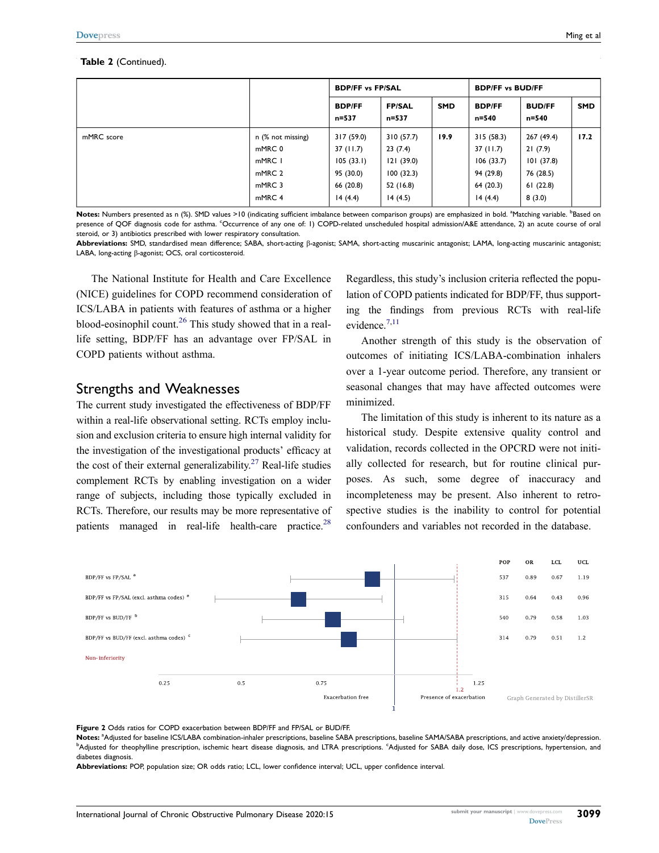|            |                     | <b>BDP/FF vs FP/SAL</b> |                        |            | <b>BDP/FF vs BUD/FF</b> |                        |            |
|------------|---------------------|-------------------------|------------------------|------------|-------------------------|------------------------|------------|
|            |                     | <b>BDP/FF</b><br>n=537  | <b>FP/SAL</b><br>n=537 | <b>SMD</b> | <b>BDP/FF</b><br>n=540  | <b>BUD/FF</b><br>n=540 | <b>SMD</b> |
| mMRC score | $n$ (% not missing) | 317(59.0)               | 310(57.7)              | 19.9       | 315(58.3)               | 267 (49.4)             | 17.2       |
|            | mMRC 0              | 37(11.7)                | 23(7.4)                |            | 37(11.7)                | 21(7.9)                |            |
|            | mMRC I              | 105(33.1)               | 121(39.0)              |            | 106(33.7)               | 101(37.8)              |            |
|            | mMRC 2              | 95 (30.0)               | 100(32.3)              |            | 94 (29.8)               | 76 (28.5)              |            |
|            | mMRC 3              | 66 (20.8)               | 52 (16.8)              |            | 64(20.3)                | 61(22.8)               |            |
|            | mMRC 4              | 14(4.4)                 | 14(4.5)                |            | 14(4.4)                 | 8(3.0)                 |            |

Notes: Numbers presented as n (%). SMD values >10 (indicating sufficient imbalance between comparison groups) are emphasized in bold. <sup>a</sup>Matching variable. <sup>b</sup>Based on presence of QOF diagnosis code for asthma. <sup>c</sup>Occurrence of any one of: 1) COPD-related unscheduled hospital admission/A&E attendance, 2) an acute course of oral steroid, or 3) antibiotics prescribed with lower respiratory consultation.

**Abbreviations:** SMD, standardised mean difference; SABA, short-acting β-agonist; SAMA, short-acting muscarinic antagonist; LAMA, long-acting muscarinic antagonist; LABA, long-acting β-agonist; OCS, oral corticosteroid.

<span id="page-6-1"></span>The National Institute for Health and Care Excellence (NICE) guidelines for COPD recommend consideration of ICS/LABA in patients with features of asthma or a higher blood-eosinophil count[.26](#page-10-3) This study showed that in a reallife setting, BDP/FF has an advantage over FP/SAL in COPD patients without asthma.

#### Strengths and Weaknesses

<span id="page-6-2"></span>The current study investigated the effectiveness of BDP/FF within a real-life observational setting. RCTs employ inclusion and exclusion criteria to ensure high internal validity for the investigation of the investigational products' efficacy at the cost of their external generalizability.<sup>[27](#page-10-4)</sup> Real-life studies complement RCTs by enabling investigation on a wider range of subjects, including those typically excluded in RCTs. Therefore, our results may be more representative of patients managed in real-life health-care practice.<sup>28</sup>

Regardless, this study's inclusion criteria reflected the population of COPD patients indicated for BDP/FF, thus supporting the findings from previous RCTs with real-life evidence.<sup>[7](#page-9-6)[,11](#page-9-10)</sup>

Another strength of this study is the observation of outcomes of initiating ICS/LABA-combination inhalers over a 1-year outcome period. Therefore, any transient or seasonal changes that may have affected outcomes were minimized.

The limitation of this study is inherent to its nature as a historical study. Despite extensive quality control and validation, records collected in the OPCRD were not initially collected for research, but for routine clinical purposes. As such, some degree of inaccuracy and incompleteness may be present. Also inherent to retrospective studies is the inability to control for potential confounders and variables not recorded in the database.

<span id="page-6-3"></span><span id="page-6-0"></span>

**Figure 2** Odds ratios for COPD exacerbation between BDP/FF and FP/SAL or BUD/FF.

**Notes:** <sup>a</sup>Adjusted for baseline ICS/LABA combination-inhaler prescriptions, baseline SABA prescriptions, and active anxiety/depression.<br>Padjusted for theophylline prescription, ischemic beart disease diagnosis, and JTBA Adjusted for theophylline prescription, ischemic heart disease diagnosis, and LTRA prescriptions. <sup>c</sup>Adjusted for SABA daily dose, ICS prescriptions, hypertension, and diabetes diagnosis.

**Abbreviations:** POP, population size; OR odds ratio; LCL, lower confidence interval; UCL, upper confidence interval.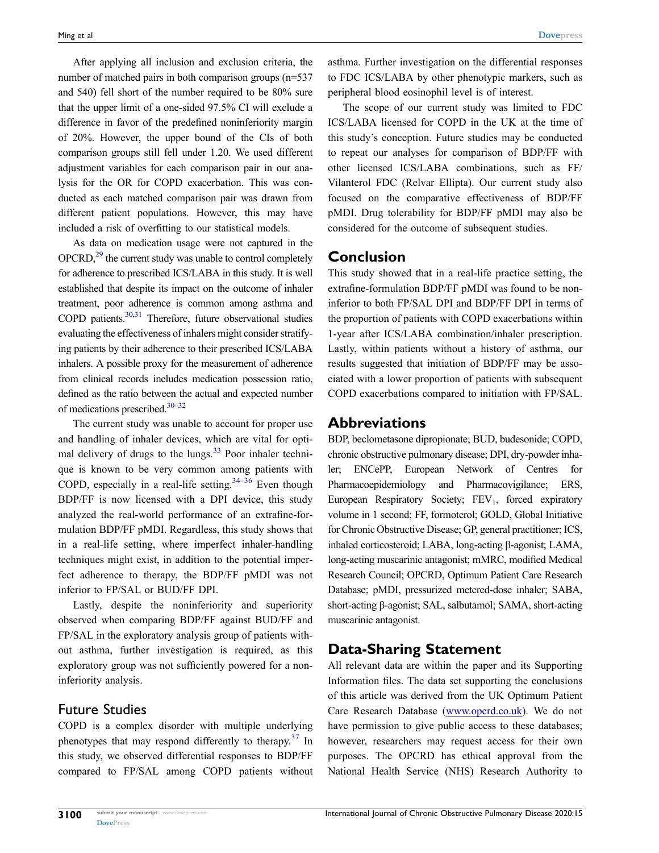After applying all inclusion and exclusion criteria, the number of matched pairs in both comparison groups (n=537 and 540) fell short of the number required to be 80% sure that the upper limit of a one-sided 97.5% CI will exclude a difference in favor of the predefined noninferiority margin of 20%. However, the upper bound of the CIs of both comparison groups still fell under 1.20. We used different adjustment variables for each comparison pair in our analysis for the OR for COPD exacerbation. This was conducted as each matched comparison pair was drawn from different patient populations. However, this may have included a risk of overfitting to our statistical models.

<span id="page-7-2"></span><span id="page-7-0"></span>As data on medication usage were not captured in the  $OPCRD<sub>1</sub><sup>29</sup>$  the current study was unable to control completely for adherence to prescribed ICS/LABA in this study. It is well established that despite its impact on the outcome of inhaler treatment, poor adherence is common among asthma and COPD patients[.30](#page-10-7)[,31](#page-10-8) Therefore, future observational studies evaluating the effectiveness of inhalers might consider stratifying patients by their adherence to their prescribed ICS/LABA inhalers. A possible proxy for the measurement of adherence from clinical records includes medication possession ratio, defined as the ratio between the actual and expected number of medications prescribed[.30–32](#page-10-7)

<span id="page-7-4"></span><span id="page-7-3"></span><span id="page-7-1"></span>The current study was unable to account for proper use and handling of inhaler devices, which are vital for optimal delivery of drugs to the lungs. $^{33}$  Poor inhaler technique is known to be very common among patients with COPD, especially in a real-life setting.<sup>34–36</sup> Even though BDP/FF is now licensed with a DPI device, this study analyzed the real-world performance of an extrafine-formulation BDP/FF pMDI. Regardless, this study shows that in a real-life setting, where imperfect inhaler-handling techniques might exist, in addition to the potential imperfect adherence to therapy, the BDP/FF pMDI was not inferior to FP/SAL or BUD/FF DPI.

Lastly, despite the noninferiority and superiority observed when comparing BDP/FF against BUD/FF and FP/SAL in the exploratory analysis group of patients without asthma, further investigation is required, as this exploratory group was not sufficiently powered for a noninferiority analysis.

#### Future Studies

<span id="page-7-5"></span>COPD is a complex disorder with multiple underlying phenotypes that may respond differently to therapy.<sup>[37](#page-10-11)</sup> In this study, we observed differential responses to BDP/FF compared to FP/SAL among COPD patients without

asthma. Further investigation on the differential responses to FDC ICS/LABA by other phenotypic markers, such as peripheral blood eosinophil level is of interest.

The scope of our current study was limited to FDC ICS/LABA licensed for COPD in the UK at the time of this study's conception. Future studies may be conducted to repeat our analyses for comparison of BDP/FF with other licensed ICS/LABA combinations, such as FF/ Vilanterol FDC (Relvar Ellipta). Our current study also focused on the comparative effectiveness of BDP/FF pMDI. Drug tolerability for BDP/FF pMDI may also be considered for the outcome of subsequent studies.

### **Conclusion**

This study showed that in a real-life practice setting, the extrafine-formulation BDP/FF pMDI was found to be noninferior to both FP/SAL DPI and BDP/FF DPI in terms of the proportion of patients with COPD exacerbations within 1-year after ICS/LABA combination/inhaler prescription. Lastly, within patients without a history of asthma, our results suggested that initiation of BDP/FF may be associated with a lower proportion of patients with subsequent COPD exacerbations compared to initiation with FP/SAL.

#### **Abbreviations**

BDP, beclometasone dipropionate; BUD, budesonide; COPD, chronic obstructive pulmonary disease; DPI, dry-powder inhaler; ENCePP, European Network of Centres for Pharmacoepidemiology and Pharmacovigilance; ERS, European Respiratory Society; FEV<sub>1</sub>, forced expiratory volume in 1 second; FF, formoterol; GOLD, Global Initiative for Chronic Obstructive Disease; GP, general practitioner; ICS, inhaled corticosteroid; LABA, long-acting β-agonist; LAMA, long-acting muscarinic antagonist; mMRC, modified Medical Research Council; OPCRD, Optimum Patient Care Research Database; pMDI, pressurized metered-dose inhaler; SABA, short-acting β-agonist; SAL, salbutamol; SAMA, short-acting muscarinic antagonist.

#### **Data-Sharing Statement**

All relevant data are within the paper and its Supporting Information files. The data set supporting the conclusions of this article was derived from the UK Optimum Patient Care Research Database ([www.opcrd.co.uk](http://www.opcrd.co.uk)). We do not have permission to give public access to these databases; however, researchers may request access for their own purposes. The OPCRD has ethical approval from the National Health Service (NHS) Research Authority to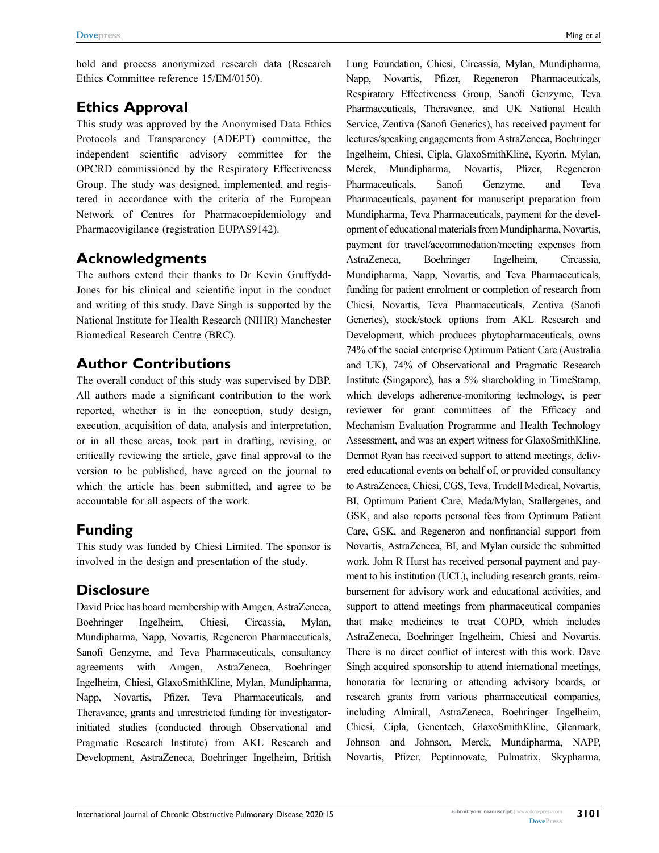hold and process anonymized research data (Research Ethics Committee reference 15/EM/0150).

### **Ethics Approval**

This study was approved by the Anonymised Data Ethics Protocols and Transparency (ADEPT) committee, the independent scientific advisory committee for the OPCRD commissioned by the Respiratory Effectiveness Group. The study was designed, implemented, and registered in accordance with the criteria of the European Network of Centres for Pharmacoepidemiology and Pharmacovigilance (registration EUPAS9142).

### **Acknowledgments**

The authors extend their thanks to Dr Kevin Gruffydd-Jones for his clinical and scientific input in the conduct and writing of this study. Dave Singh is supported by the National Institute for Health Research (NIHR) Manchester Biomedical Research Centre (BRC).

### **Author Contributions**

The overall conduct of this study was supervised by DBP. All authors made a significant contribution to the work reported, whether is in the conception, study design, execution, acquisition of data, analysis and interpretation, or in all these areas, took part in drafting, revising, or critically reviewing the article, gave final approval to the version to be published, have agreed on the journal to which the article has been submitted, and agree to be accountable for all aspects of the work.

### **Funding**

This study was funded by Chiesi Limited. The sponsor is involved in the design and presentation of the study.

### **Disclosure**

David Price has board membership with Amgen, AstraZeneca, Boehringer Ingelheim, Chiesi, Circassia, Mylan, Mundipharma, Napp, Novartis, Regeneron Pharmaceuticals, Sanofi Genzyme, and Teva Pharmaceuticals, consultancy agreements with Amgen, AstraZeneca, Boehringer Ingelheim, Chiesi, GlaxoSmithKline, Mylan, Mundipharma, Napp, Novartis, Pfizer, Teva Pharmaceuticals, and Theravance, grants and unrestricted funding for investigatorinitiated studies (conducted through Observational and Pragmatic Research Institute) from AKL Research and Development, AstraZeneca, Boehringer Ingelheim, British

Lung Foundation, Chiesi, Circassia, Mylan, Mundipharma, Napp, Novartis, Pfizer, Regeneron Pharmaceuticals, Respiratory Effectiveness Group, Sanofi Genzyme, Teva Pharmaceuticals, Theravance, and UK National Health Service, Zentiva (Sanofi Generics), has received payment for lectures/speaking engagements from AstraZeneca, Boehringer Ingelheim, Chiesi, Cipla, GlaxoSmithKline, Kyorin, Mylan, Merck, Mundipharma, Novartis, Pfizer, Regeneron Pharmaceuticals, Sanofi Genzyme, and Teva Pharmaceuticals, payment for manuscript preparation from Mundipharma, Teva Pharmaceuticals, payment for the development of educational materials from Mundipharma, Novartis, payment for travel/accommodation/meeting expenses from AstraZeneca, Boehringer Ingelheim, Circassia, Mundipharma, Napp, Novartis, and Teva Pharmaceuticals, funding for patient enrolment or completion of research from Chiesi, Novartis, Teva Pharmaceuticals, Zentiva (Sanofi Generics), stock/stock options from AKL Research and Development, which produces phytopharmaceuticals, owns 74% of the social enterprise Optimum Patient Care (Australia and UK), 74% of Observational and Pragmatic Research Institute (Singapore), has a 5% shareholding in TimeStamp, which develops adherence-monitoring technology, is peer reviewer for grant committees of the Efficacy and Mechanism Evaluation Programme and Health Technology Assessment, and was an expert witness for GlaxoSmithKline. Dermot Ryan has received support to attend meetings, delivered educational events on behalf of, or provided consultancy to AstraZeneca, Chiesi, CGS, Teva, Trudell Medical, Novartis, BI, Optimum Patient Care, Meda/Mylan, Stallergenes, and GSK, and also reports personal fees from Optimum Patient Care, GSK, and Regeneron and nonfinancial support from Novartis, AstraZeneca, BI, and Mylan outside the submitted work. John R Hurst has received personal payment and payment to his institution (UCL), including research grants, reimbursement for advisory work and educational activities, and support to attend meetings from pharmaceutical companies that make medicines to treat COPD, which includes AstraZeneca, Boehringer Ingelheim, Chiesi and Novartis. There is no direct conflict of interest with this work. Dave Singh acquired sponsorship to attend international meetings, honoraria for lecturing or attending advisory boards, or research grants from various pharmaceutical companies, including Almirall, AstraZeneca, Boehringer Ingelheim, Chiesi, Cipla, Genentech, GlaxoSmithKline, Glenmark, Johnson and Johnson, Merck, Mundipharma, NAPP, Novartis, Pfizer, Peptinnovate, Pulmatrix, Skypharma,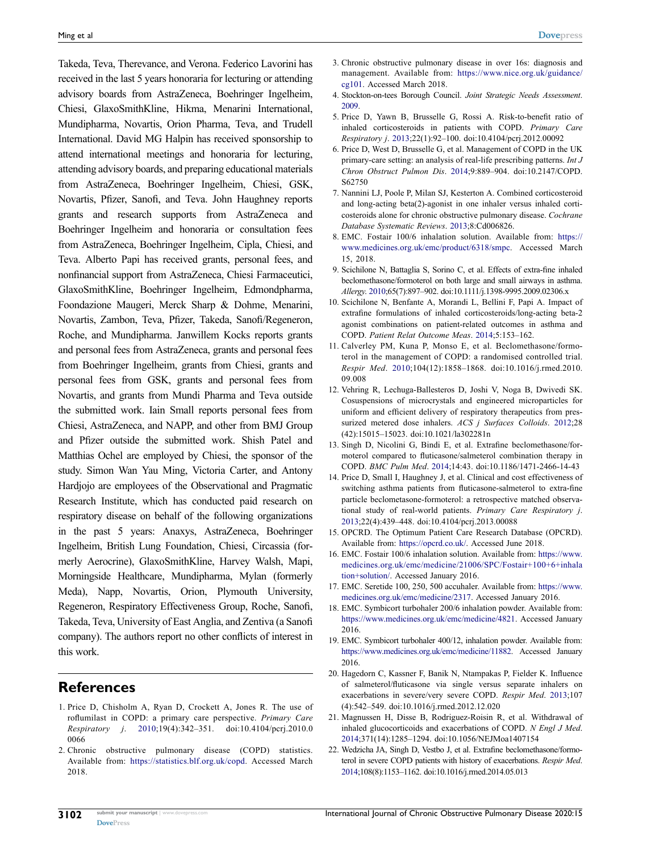Takeda, Teva, Therevance, and Verona. Federico Lavorini has received in the last 5 years honoraria for lecturing or attending advisory boards from AstraZeneca, Boehringer Ingelheim, Chiesi, GlaxoSmithKline, Hikma, Menarini International, Mundipharma, Novartis, Orion Pharma, Teva, and Trudell International. David MG Halpin has received sponsorship to attend international meetings and honoraria for lecturing, attending advisory boards, and preparing educational materials from AstraZeneca, Boehringer Ingelheim, Chiesi, GSK, Novartis, Pfizer, Sanofi, and Teva. John Haughney reports grants and research supports from AstraZeneca and Boehringer Ingelheim and honoraria or consultation fees from AstraZeneca, Boehringer Ingelheim, Cipla, Chiesi, and Teva. Alberto Papi has received grants, personal fees, and nonfinancial support from AstraZeneca, Chiesi Farmaceutici, GlaxoSmithKline, Boehringer Ingelheim, Edmondpharma, Foondazione Maugeri, Merck Sharp & Dohme, Menarini, Novartis, Zambon, Teva, Pfizer, Takeda, Sanofi/Regeneron, Roche, and Mundipharma. Janwillem Kocks reports grants and personal fees from AstraZeneca, grants and personal fees from Boehringer Ingelheim, grants from Chiesi, grants and personal fees from GSK, grants and personal fees from Novartis, and grants from Mundi Pharma and Teva outside the submitted work. Iain Small reports personal fees from Chiesi, AstraZeneca, and NAPP, and other from BMJ Group and Pfizer outside the submitted work. Shish Patel and Matthias Ochel are employed by Chiesi, the sponsor of the study. Simon Wan Yau Ming, Victoria Carter, and Antony Hardjojo are employees of the Observational and Pragmatic Research Institute, which has conducted paid research on respiratory disease on behalf of the following organizations in the past 5 years: Anaxys, AstraZeneca, Boehringer Ingelheim, British Lung Foundation, Chiesi, Circassia (formerly Aerocrine), GlaxoSmithKline, Harvey Walsh, Mapi, Morningside Healthcare, Mundipharma, Mylan (formerly Meda), Napp, Novartis, Orion, Plymouth University, Regeneron, Respiratory Effectiveness Group, Roche, Sanofi, Takeda, Teva, University of East Anglia, and Zentiva (a Sanofi company). The authors report no other conflicts of interest in this work.

### **References**

- <span id="page-9-0"></span>1. Price D, Chisholm A, Ryan D, Crockett A, Jones R. The use of roflumilast in COPD: a primary care perspective. *Primary Care Respiratory j*. [2010](#page-1-0);19(4):342–351. doi:[10.4104/pcrj.2010.0](https://doi.org/10.4104/pcrj.2010.00066)  [0066](https://doi.org/10.4104/pcrj.2010.00066)
- <span id="page-9-1"></span>2. Chronic obstructive pulmonary disease (COPD) statistics. Available from: [https://statistics.blf.org.uk/copd.](https://statistics.blf.org.uk/copd) Accessed March 2018.
- <span id="page-9-2"></span>3. Chronic obstructive pulmonary disease in over 16s: diagnosis and management. Available from: [https://www.nice.org.uk/guidance/](https://www.nice.org.uk/guidance/cg101)  [cg101.](https://www.nice.org.uk/guidance/cg101) Accessed March 2018.
- <span id="page-9-3"></span>4. Stockton-on-tees Borough Council. *Joint Strategic Needs Assessment*. [2009.](#page-1-1)
- <span id="page-9-4"></span>5. Price D, Yawn B, Brusselle G, Rossi A. Risk-to-benefit ratio of inhaled corticosteroids in patients with COPD. *Primary Care Respiratory j*. [2013;](#page-1-2)22(1):92–100. doi:[10.4104/pcrj.2012.00092](https://doi.org/10.4104/pcrj.2012.00092)
- <span id="page-9-5"></span>6. Price D, West D, Brusselle G, et al. Management of COPD in the UK primary-care setting: an analysis of real-life prescribing patterns. *Int J Chron Obstruct Pulmon Dis*. [2014](#page-1-3);9:889–904. doi:[10.2147/COPD.](https://doi.org/10.2147/COPD.S62750) [S62750](https://doi.org/10.2147/COPD.S62750)
- <span id="page-9-6"></span>7. Nannini LJ, Poole P, Milan SJ, Kesterton A. Combined corticosteroid and long-acting beta(2)-agonist in one inhaler versus inhaled corticosteroids alone for chronic obstructive pulmonary disease. *Cochrane Database Systematic Reviews*. [2013](#page-1-3);8:Cd006826.
- <span id="page-9-7"></span>8. EMC. Fostair 100/6 inhalation solution. Available from: [https://](https://www.medicines.org.uk/emc/product/6318/smpc) [www.medicines.org.uk/emc/product/6318/smpc](https://www.medicines.org.uk/emc/product/6318/smpc). Accessed March 15, 2018.
- <span id="page-9-8"></span>9. Scichilone N, Battaglia S, Sorino C, et al. Effects of extra-fine inhaled beclomethasone/formoterol on both large and small airways in asthma. *Allergy*. [2010](#page-1-4);65(7):897–902. doi:[10.1111/j.1398-9995.2009.02306.x](https://doi.org/10.1111/j.1398-9995.2009.02306.x)
- 10. Scichilone N, Benfante A, Morandi L, Bellini F, Papi A. Impact of extrafine formulations of inhaled corticosteroids/long-acting beta-2 agonist combinations on patient-related outcomes in asthma and COPD. *Patient Relat Outcome Meas*. 2014;5:153–162.
- <span id="page-9-10"></span>11. Calverley PM, Kuna P, Monso E, et al. Beclomethasone/formoterol in the management of COPD: a randomised controlled trial. *Respir Med*. [2010](#page-1-5);104(12):1858–1868. doi:[10.1016/j.rmed.2010.](https://doi.org/10.1016/j.rmed.2010.09.008)  [09.008](https://doi.org/10.1016/j.rmed.2010.09.008)
- 12. Vehring R, Lechuga-Ballesteros D, Joshi V, Noga B, Dwivedi SK. Cosuspensions of microcrystals and engineered microparticles for uniform and efficient delivery of respiratory therapeutics from pressurized metered dose inhalers. *ACS j Surfaces Colloids*. 2012;28 (42):15015–15023. doi:[10.1021/la302281n](https://doi.org/10.1021/la302281n)
- <span id="page-9-9"></span>13. Singh D, Nicolini G, Bindi E, et al. Extrafine beclomethasone/formoterol compared to fluticasone/salmeterol combination therapy in COPD. *BMC Pulm Med*. [2014](#page-1-6);14:43. doi:[10.1186/1471-2466-14-43](https://doi.org/10.1186/1471-2466-14-43)
- <span id="page-9-11"></span>14. Price D, Small I, Haughney J, et al. Clinical and cost effectiveness of switching asthma patients from fluticasone-salmeterol to extra-fine particle beclometasone-formoterol: a retrospective matched observational study of real-world patients. *Primary Care Respiratory j*. [2013](#page-1-7);22(4):439–448. doi:[10.4104/pcrj.2013.00088](https://doi.org/10.4104/pcrj.2013.00088)
- <span id="page-9-12"></span>15. OPCRD. The Optimum Patient Care Research Database (OPCRD). Available from: <https://opcrd.co.uk/>. Accessed June 2018.
- <span id="page-9-13"></span>16. EMC. Fostair 100/6 inhalation solution. Available from: [https://www.](https://www.medicines.org.uk/emc/medicine/21006/SPC/Fostair+100+6+inhalation+solution/) [medicines.org.uk/emc/medicine/21006/SPC/Fostair+100+6+inhala](https://www.medicines.org.uk/emc/medicine/21006/SPC/Fostair+100+6+inhalation+solution/)  [tion+solution/](https://www.medicines.org.uk/emc/medicine/21006/SPC/Fostair+100+6+inhalation+solution/). Accessed January 2016.
- <span id="page-9-14"></span>17. EMC. Seretide 100, 250, 500 accuhaler. Available from: [https://www.](https://www.medicines.org.uk/emc/medicine/2317) [medicines.org.uk/emc/medicine/2317.](https://www.medicines.org.uk/emc/medicine/2317) Accessed January 2016.
- <span id="page-9-15"></span>18. EMC. Symbicort turbohaler 200/6 inhalation powder. Available from: [https://www.medicines.org.uk/emc/medicine/4821.](https://www.medicines.org.uk/emc/medicine/4821) Accessed January 2016.
- <span id="page-9-16"></span>19. EMC. Symbicort turbohaler 400/12, inhalation powder. Available from: <https://www.medicines.org.uk/emc/medicine/11882>. Accessed January 2016.
- <span id="page-9-17"></span>20. Hagedorn C, Kassner F, Banik N, Ntampakas P, Fielder K. Influence of salmeterol/fluticasone via single versus separate inhalers on exacerbations in severe/very severe COPD. *Respir Med*. [2013](#page-2-1);107 (4):542–549. doi:[10.1016/j.rmed.2012.12.020](https://doi.org/10.1016/j.rmed.2012.12.020)
- <span id="page-9-18"></span>21. Magnussen H, Disse B, Rodriguez-Roisin R, et al. Withdrawal of inhaled glucocorticoids and exacerbations of COPD. *N Engl J Med*. [2014](#page-4-0);371(14):1285–1294. doi:[10.1056/NEJMoa1407154](https://doi.org/10.1056/NEJMoa1407154)
- <span id="page-9-19"></span>22. Wedzicha JA, Singh D, Vestbo J, et al. Extrafine beclomethasone/formoterol in severe COPD patients with history of exacerbations. *Respir Med*. [2014;](#page-4-1)108(8):1153–1162. doi:[10.1016/j.rmed.2014.05.013](https://doi.org/10.1016/j.rmed.2014.05.013)